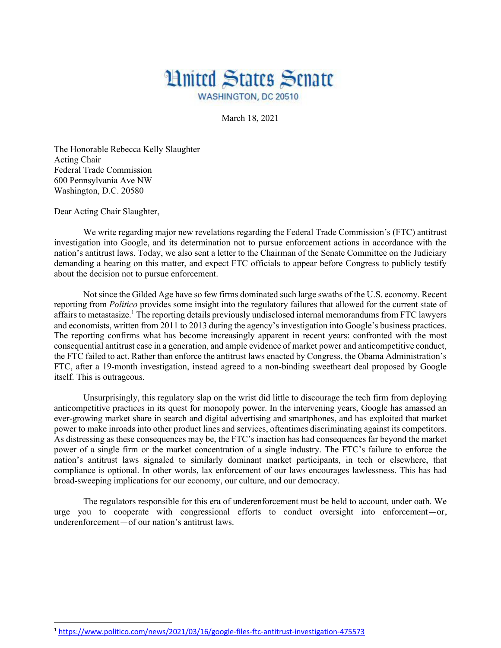## **Hnited States Senate** WASHINGTON, DC 20510

March 18, 2021

The Honorable Rebecca Kelly Slaughter Acting Chair Federal Trade Commission 600 Pennsylvania Ave NW Washington, D.C. 20580

Dear Acting Chair Slaughter,

We write regarding major new revelations regarding the Federal Trade Commission's (FTC) antitrust investigation into Google, and its determination not to pursue enforcement actions in accordance with the nation's antitrust laws. Today, we also sent a letter to the Chairman of the Senate Committee on the Judiciary demanding a hearing on this matter, and expect FTC officials to appear before Congress to publicly testify about the decision not to pursue enforcement.

Not since the Gilded Age have so few firms dominated such large swaths of the U.S. economy. Recent reporting from *Politico* provides some insight into the regulatory failures that allowed for the current state of affairs to metastasize.<sup>1</sup> The reporting details previously undisclosed internal memorandums from FTC lawyers and economists, written from 2011 to 2013 during the agency's investigation into Google's business practices. The reporting confirms what has become increasingly apparent in recent years: confronted with the most consequential antitrust case in a generation, and ample evidence of market power and anticompetitive conduct, the FTC failed to act. Rather than enforce the antitrust laws enacted by Congress, the Obama Administration's FTC, after a 19-month investigation, instead agreed to a non-binding sweetheart deal proposed by Google itself. This is outrageous.

Unsurprisingly, this regulatory slap on the wrist did little to discourage the tech firm from deploying anticompetitive practices in its quest for monopoly power. In the intervening years, Google has amassed an ever-growing market share in search and digital advertising and smartphones, and has exploited that market power to make inroads into other product lines and services, oftentimes discriminating against its competitors. As distressing as these consequences may be, the FTC's inaction has had consequences far beyond the market power of a single firm or the market concentration of a single industry. The FTC's failure to enforce the nation's antitrust laws signaled to similarly dominant market participants, in tech or elsewhere, that compliance is optional. In other words, lax enforcement of our laws encourages lawlessness. This has had broad-sweeping implications for our economy, our culture, and our democracy.

The regulators responsible for this era of underenforcement must be held to account, under oath. We urge you to cooperate with congressional efforts to conduct oversight into enforcement—or, underenforcement—of our nation's antitrust laws.

<sup>1</sup> https://www.politico.com/news/2021/03/16/google-files-ftc-antitrust-investigation-475573